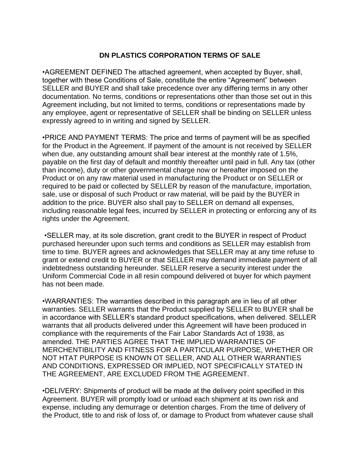## **DN PLASTICS CORPORATION TERMS OF SALE**

•AGREEMENT DEFINED The attached agreement, when accepted by Buyer, shall, together with these Conditions of Sale, constitute the entire "Agreement" between SELLER and BUYER and shall take precedence over any differing terms in any other documentation. No terms, conditions or representations other than those set out in this Agreement including, but not limited to terms, conditions or representations made by any employee, agent or representative of SELLER shall be binding on SELLER unless expressly agreed to in writing and signed by SELLER.

•PRICE AND PAYMENT TERMS: The price and terms of payment will be as specified for the Product in the Agreement. If payment of the amount is not received by SELLER when due, any outstanding amount shall bear interest at the monthly rate of 1.5%, payable on the first day of default and monthly thereafter until paid in full. Any tax (other than income), duty or other governmental charge now or hereafter imposed on the Product or on any raw material used in manufacturing the Product or on SELLER or required to be paid or collected by SELLER by reason of the manufacture, importation, sale, use or disposal of such Product or raw material, will be paid by the BUYER in addition to the price. BUYER also shall pay to SELLER on demand all expenses, including reasonable legal fees, incurred by SELLER in protecting or enforcing any of its rights under the Agreement.

•SELLER may, at its sole discretion, grant credit to the BUYER in respect of Product purchased hereunder upon such terms and conditions as SELLER may establish from time to time. BUYER agrees and acknowledges that SELLER may at any time refuse to grant or extend credit to BUYER or that SELLER may demand immediate payment of all indebtedness outstanding hereunder. SELLER reserve a security interest under the Uniform Commercial Code in all resin compound delivered ot buyer for which payment has not been made.

•WARRANTIES: The warranties described in this paragraph are in lieu of all other warranties. SELLER warrants that the Product supplied by SELLER to BUYER shall be in accordance with SELLER's standard product specifications, when delivered. SELLER warrants that all products delivered under this Agreement will have been produced in compliance with the requirements of the Fair Labor Standards Act of 1938, as amended. THE PARTIES AGREE THAT THE IMPLIED WARRANTIES OF MERCHENTIBILITY AND FITNESS FOR A PARTICULAR PURPOSE, WHETHER OR NOT HTAT PURPOSE IS KNOWN OT SELLER, AND ALL OTHER WARRANTIES AND CONDITIONS, EXPRESSED OR IMPLIED, NOT SPECIFICALLY STATED IN THE AGREEMENT, ARE EXCLUDED FROM THE AGREEMENT.

•DELIVERY: Shipments of product will be made at the delivery point specified in this Agreement. BUYER will promptly load or unload each shipment at its own risk and expense, including any demurrage or detention charges. From the time of delivery of the Product, title to and risk of loss of, or damage to Product from whatever cause shall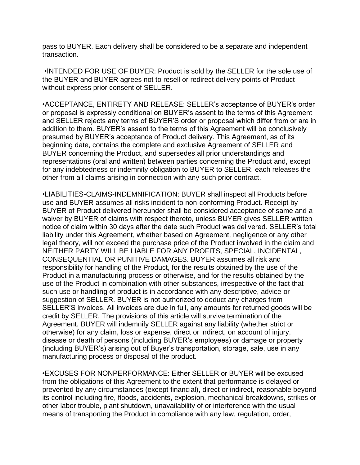pass to BUYER. Each delivery shall be considered to be a separate and independent transaction.

•INTENDED FOR USE OF BUYER: Product is sold by the SELLER for the sole use of the BUYER and BUYER agrees not to resell or redirect delivery points of Product without express prior consent of SELLER.

•ACCEPTANCE, ENTIRETY AND RELEASE: SELLER's acceptance of BUYER's order or proposal is expressly conditional on BUYER's assent to the terms of this Agreement and SELLER rejects any terms of BUYER'S order or proposal which differ from or are in addition to them. BUYER's assent to the terms of this Agreement will be conclusively presumed by BUYER's acceptance of Product delivery. This Agreement, as of its beginning date, contains the complete and exclusive Agreement of SELLER and BUYER concerning the Product, and supersedes all prior understandings and representations (oral and written) between parties concerning the Product and, except for any indebtedness or indemnity obligation to BUYER to SELLER, each releases the other from all claims arising in connection with any such prior contract.

•LIABILITIES-CLAIMS-INDEMNIFICATION: BUYER shall inspect all Products before use and BUYER assumes all risks incident to non-conforming Product. Receipt by BUYER of Product delivered hereunder shall be considered acceptance of same and a waiver by BUYER of claims with respect thereto, unless BUYER gives SELLER written notice of claim within 30 days after the date such Product was delivered. SELLER's total liability under this Agreement, whether based on Agreement, negligence or any other legal theory, will not exceed the purchase price of the Product involved in the claim and NEITHER PARTY WILL BE LIABLE FOR ANY PROFITS, SPECIAL, INCIDENTAL, CONSEQUENTIAL OR PUNITIVE DAMAGES. BUYER assumes all risk and responsibility for handling of the Product, for the results obtained by the use of the Product in a manufacturing process or otherwise, and for the results obtained by the use of the Product in combination with other substances, irrespective of the fact that such use or handling of product is in accordance with any descriptive, advice or suggestion of SELLER. BUYER is not authorized to deduct any charges from SELLER'S invoices. All invoices are due in full, any amounts for returned goods will be credit by SELLER. The provisions of this article will survive termination of the Agreement. BUYER will indemnify SELLER against any liability (whether strict or otherwise) for any claim, loss or expense, direct or indirect, on account of injury, disease or death of persons (including BUYER's employees) or damage or property (including BUYER's) arising out of Buyer's transportation, storage, sale, use in any manufacturing process or disposal of the product.

•EXCUSES FOR NONPERFORMANCE: Either SELLER or BUYER will be excused from the obligations of this Agreement to the extent that performance is delayed or prevented by any circumstances (except financial), direct or indirect, reasonable beyond its control including fire, floods, accidents, explosion, mechanical breakdowns, strikes or other labor trouble, plant shutdown, unavailability of or interference with the usual means of transporting the Product in compliance with any law, regulation, order,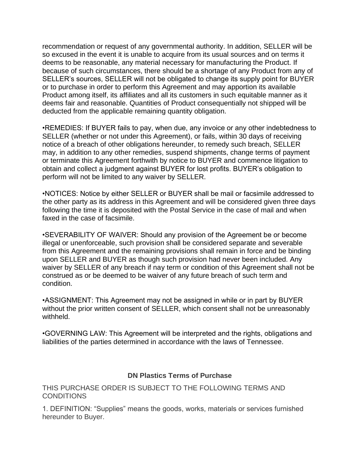recommendation or request of any governmental authority. In addition, SELLER will be so excused in the event it is unable to acquire from its usual sources and on terms it deems to be reasonable, any material necessary for manufacturing the Product. If because of such circumstances, there should be a shortage of any Product from any of SELLER's sources, SELLER will not be obligated to change its supply point for BUYER or to purchase in order to perform this Agreement and may apportion its available Product among itself, its affiliates and all its customers in such equitable manner as it deems fair and reasonable. Quantities of Product consequentially not shipped will be deducted from the applicable remaining quantity obligation.

•REMEDIES: If BUYER fails to pay, when due, any invoice or any other indebtedness to SELLER (whether or not under this Agreement), or fails, within 30 days of receiving notice of a breach of other obligations hereunder, to remedy such breach, SELLER may, in addition to any other remedies, suspend shipments, change terms of payment or terminate this Agreement forthwith by notice to BUYER and commence litigation to obtain and collect a judgment against BUYER for lost profits. BUYER's obligation to perform will not be limited to any waiver by SELLER.

•NOTICES: Notice by either SELLER or BUYER shall be mail or facsimile addressed to the other party as its address in this Agreement and will be considered given three days following the time it is deposited with the Postal Service in the case of mail and when faxed in the case of facsimile.

•SEVERABILITY OF WAIVER: Should any provision of the Agreement be or become illegal or unenforceable, such provision shall be considered separate and severable from this Agreement and the remaining provisions shall remain in force and be binding upon SELLER and BUYER as though such provision had never been included. Any waiver by SELLER of any breach if nay term or condition of this Agreement shall not be construed as or be deemed to be waiver of any future breach of such term and condition.

•ASSIGNMENT: This Agreement may not be assigned in while or in part by BUYER without the prior written consent of SELLER, which consent shall not be unreasonably withheld.

•GOVERNING LAW: This Agreement will be interpreted and the rights, obligations and liabilities of the parties determined in accordance with the laws of Tennessee.

## **DN Plastics Terms of Purchase**

THIS PURCHASE ORDER IS SUBJECT TO THE FOLLOWING TERMS AND CONDITIONS

1. DEFINITION: "Supplies" means the goods, works, materials or services furnished hereunder to Buyer.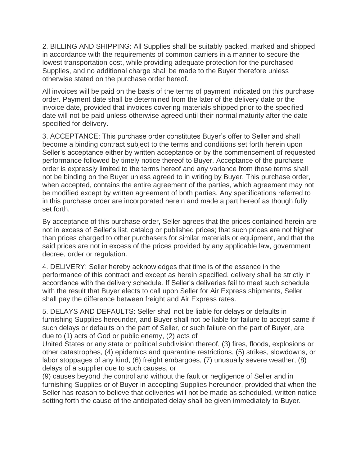2. BILLING AND SHIPPING: All Supplies shall be suitably packed, marked and shipped in accordance with the requirements of common carriers in a manner to secure the lowest transportation cost, while providing adequate protection for the purchased Supplies, and no additional charge shall be made to the Buyer therefore unless otherwise stated on the purchase order hereof.

All invoices will be paid on the basis of the terms of payment indicated on this purchase order. Payment date shall be determined from the later of the delivery date or the invoice date, provided that invoices covering materials shipped prior to the specified date will not be paid unless otherwise agreed until their normal maturity after the date specified for delivery.

3. ACCEPTANCE: This purchase order constitutes Buyer's offer to Seller and shall become a binding contract subject to the terms and conditions set forth herein upon Seller's acceptance either by written acceptance or by the commencement of requested performance followed by timely notice thereof to Buyer. Acceptance of the purchase order is expressly limited to the terms hereof and any variance from those terms shall not be binding on the Buyer unless agreed to in writing by Buyer. This purchase order, when accepted, contains the entire agreement of the parties, which agreement may not be modified except by written agreement of both parties. Any specifications referred to in this purchase order are incorporated herein and made a part hereof as though fully set forth.

By acceptance of this purchase order, Seller agrees that the prices contained herein are not in excess of Seller's list, catalog or published prices; that such prices are not higher than prices charged to other purchasers for similar materials or equipment, and that the said prices are not in excess of the prices provided by any applicable law, government decree, order or regulation.

4. DELIVERY: Seller hereby acknowledges that time is of the essence in the performance of this contract and except as herein specified, delivery shall be strictly in accordance with the delivery schedule. If Seller's deliveries fail to meet such schedule with the result that Buyer elects to call upon Seller for Air Express shipments, Seller shall pay the difference between freight and Air Express rates.

5. DELAYS AND DEFAULTS: Seller shall not be liable for delays or defaults in furnishing Supplies hereunder, and Buyer shall not be liable for failure to accept same if such delays or defaults on the part of Seller, or such failure on the part of Buyer, are due to (1) acts of God or public enemy, (2) acts of

United States or any state or political subdivision thereof, (3) fires, floods, explosions or other catastrophes, (4) epidemics and quarantine restrictions, (5) strikes, slowdowns, or labor stoppages of any kind, (6) freight embargoes, (7) unusually severe weather, (8) delays of a supplier due to such causes, or

(9) causes beyond the control and without the fault or negligence of Seller and in furnishing Supplies or of Buyer in accepting Supplies hereunder, provided that when the Seller has reason to believe that deliveries will not be made as scheduled, written notice setting forth the cause of the anticipated delay shall be given immediately to Buyer.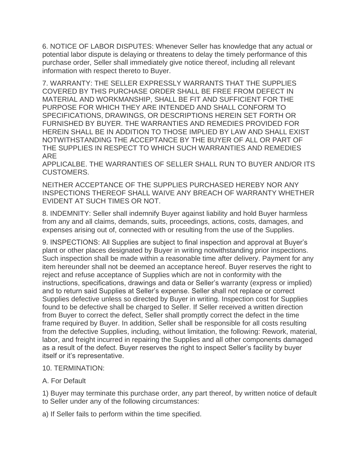6. NOTICE OF LABOR DISPUTES: Whenever Seller has knowledge that any actual or potential labor dispute is delaying or threatens to delay the timely performance of this purchase order, Seller shall immediately give notice thereof, including all relevant information with respect thereto to Buyer.

7. WARRANTY: THE SELLER EXPRESSLY WARRANTS THAT THE SUPPLIES COVERED BY THIS PURCHASE ORDER SHALL BE FREE FROM DEFECT IN MATERIAL AND WORKMANSHIP, SHALL BE FIT AND SUFFICIENT FOR THE PURPOSE FOR WHICH THEY ARE INTENDED AND SHALL CONFORM TO SPECIFICATIONS, DRAWINGS, OR DESCRIPTIONS HEREIN SET FORTH OR FURNISHED BY BUYER. THE WARRANTIES AND REMEDIES PROVIDED FOR HEREIN SHALL BE IN ADDITION TO THOSE IMPLIED BY LAW AND SHALL EXIST NOTWITHSTANDING THE ACCEPTANCE BY THE BUYER OF ALL OR PART OF THE SUPPLIES IN RESPECT TO WHICH SUCH WARRANTIES AND REMEDIES ARE

APPLICALBE. THE WARRANTIES OF SELLER SHALL RUN TO BUYER AND/OR ITS CUSTOMERS.

NEITHER ACCEPTANCE OF THE SUPPLIES PURCHASED HEREBY NOR ANY INSPECTIONS THEREOF SHALL WAIVE ANY BREACH OF WARRANTY WHETHER EVIDENT AT SUCH TIMES OR NOT.

8. INDEMNITY: Seller shall indemnify Buyer against liability and hold Buyer harmless from any and all claims, demands, suits, proceedings, actions, costs, damages, and expenses arising out of, connected with or resulting from the use of the Supplies.

9. INSPECTIONS: All Supplies are subject to final inspection and approval at Buyer's plant or other places designated by Buyer in writing notwithstanding prior inspections. Such inspection shall be made within a reasonable time after delivery. Payment for any item hereunder shall not be deemed an acceptance hereof. Buyer reserves the right to reject and refuse acceptance of Supplies which are not in conformity with the instructions, specifications, drawings and data or Seller's warranty (express or implied) and to return said Supplies at Seller's expense. Seller shall not replace or correct Supplies defective unless so directed by Buyer in writing. Inspection cost for Supplies found to be defective shall be charged to Seller. If Seller received a written direction from Buyer to correct the defect, Seller shall promptly correct the defect in the time frame required by Buyer. In addition, Seller shall be responsible for all costs resulting from the defective Supplies, including, without limitation, the following: Rework, material, labor, and freight incurred in repairing the Supplies and all other components damaged as a result of the defect. Buyer reserves the right to inspect Seller's facility by buyer itself or it's representative.

## 10. TERMINATION:

## A. For Default

1) Buyer may terminate this purchase order, any part thereof, by written notice of default to Seller under any of the following circumstances:

a) If Seller fails to perform within the time specified.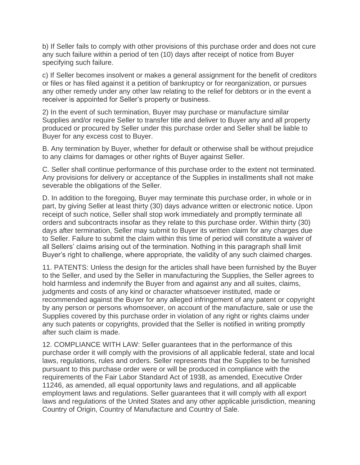b) If Seller fails to comply with other provisions of this purchase order and does not cure any such failure within a period of ten (10) days after receipt of notice from Buyer specifying such failure.

c) If Seller becomes insolvent or makes a general assignment for the benefit of creditors or files or has filed against it a petition of bankruptcy or for reorganization, or pursues any other remedy under any other law relating to the relief for debtors or in the event a receiver is appointed for Seller's property or business.

2) In the event of such termination, Buyer may purchase or manufacture similar Supplies and/or require Seller to transfer title and deliver to Buyer any and all property produced or procured by Seller under this purchase order and Seller shall be liable to Buyer for any excess cost to Buyer.

B. Any termination by Buyer, whether for default or otherwise shall be without prejudice to any claims for damages or other rights of Buyer against Seller.

C. Seller shall continue performance of this purchase order to the extent not terminated. Any provisions for delivery or acceptance of the Supplies in installments shall not make severable the obligations of the Seller.

D. In addition to the foregoing, Buyer may terminate this purchase order, in whole or in part, by giving Seller at least thirty (30) days advance written or electronic notice. Upon receipt of such notice, Seller shall stop work immediately and promptly terminate all orders and subcontracts insofar as they relate to this purchase order. Within thirty (30) days after termination, Seller may submit to Buyer its written claim for any charges due to Seller. Failure to submit the claim within this time of period will constitute a waiver of all Sellers' claims arising out of the termination. Nothing in this paragraph shall limit Buyer's right to challenge, where appropriate, the validity of any such claimed charges.

11. PATENTS: Unless the design for the articles shall have been furnished by the Buyer to the Seller, and used by the Seller in manufacturing the Supplies, the Seller agrees to hold harmless and indemnify the Buyer from and against any and all suites, claims, judgments and costs of any kind or character whatsoever instituted, made or recommended against the Buyer for any alleged infringement of any patent or copyright by any person or persons whomsoever, on account of the manufacture, sale or use the Supplies covered by this purchase order in violation of any right or rights claims under any such patents or copyrights, provided that the Seller is notified in writing promptly after such claim is made.

12. COMPLIANCE WITH LAW: Seller guarantees that in the performance of this purchase order it will comply with the provisions of all applicable federal, state and local laws, regulations, rules and orders. Seller represents that the Supplies to be furnished pursuant to this purchase order were or will be produced in compliance with the requirements of the Fair Labor Standard Act of 1938, as amended, Executive Order 11246, as amended, all equal opportunity laws and regulations, and all applicable employment laws and regulations. Seller guarantees that it will comply with all export laws and regulations of the United States and any other applicable jurisdiction, meaning Country of Origin, Country of Manufacture and Country of Sale.